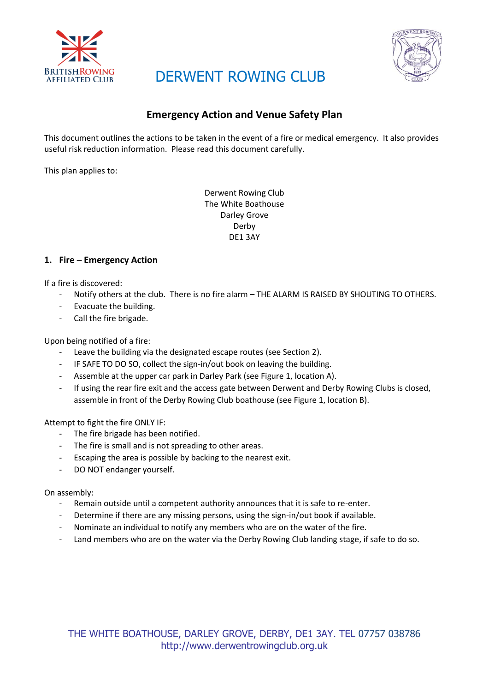

## DERWENT ROWING CLUB



### **Emergency Action and Venue Safety Plan**

This document outlines the actions to be taken in the event of a fire or medical emergency. It also provides useful risk reduction information. Please read this document carefully.

This plan applies to:

Derwent Rowing Club The White Boathouse Darley Grove Derby DE1 3AY

#### **1. Fire – Emergency Action**

If a fire is discovered:

- Notify others at the club. There is no fire alarm THE ALARM IS RAISED BY SHOUTING TO OTHERS.
- Evacuate the building.
- Call the fire brigade.

Upon being notified of a fire:

- Leave the building via the designated escape routes (see Section 2).
- IF SAFE TO DO SO, collect the sign-in/out book on leaving the building.
- Assemble at the upper car park in Darley Park (see Figure 1, location A).
- If using the rear fire exit and the access gate between Derwent and Derby Rowing Clubs is closed, assemble in front of the Derby Rowing Club boathouse (see Figure 1, location B).

Attempt to fight the fire ONLY IF:

- The fire brigade has been notified.
- The fire is small and is not spreading to other areas.
- Escaping the area is possible by backing to the nearest exit.
- DO NOT endanger yourself.

On assembly:

- Remain outside until a competent authority announces that it is safe to re-enter.
- Determine if there are any missing persons, using the sign-in/out book if available.
- Nominate an individual to notify any members who are on the water of the fire.
- Land members who are on the water via the Derby Rowing Club landing stage, if safe to do so.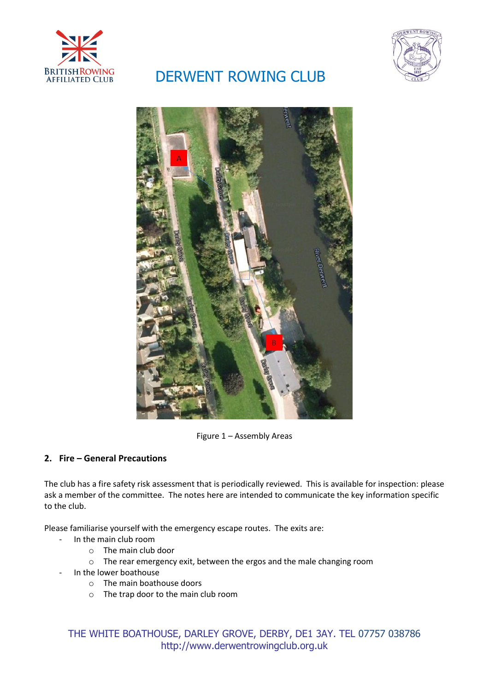

# BRITISHROWING DERWENT ROWING CLUB





Figure 1 – Assembly Areas

#### **2. Fire – General Precautions**

The club has a fire safety risk assessment that is periodically reviewed. This is available for inspection: please ask a member of the committee. The notes here are intended to communicate the key information specific to the club.

Please familiarise yourself with the emergency escape routes. The exits are:

- In the main club room
	- o The main club door
	- o The rear emergency exit, between the ergos and the male changing room
	- In the lower boathouse
		- o The main boathouse doors
		- o The trap door to the main club room

THE WHITE BOATHOUSE, DARLEY GROVE, DERBY, DE1 3AY. TEL 07757 038786 http://www.derwentrowingclub.org.uk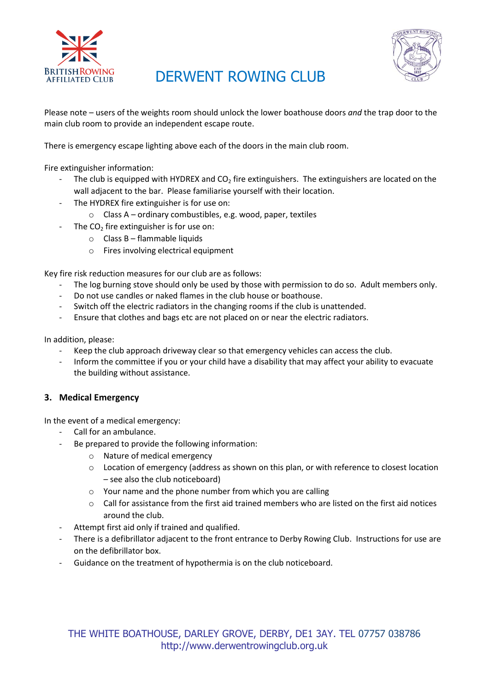

### BRITISHROWING DERWENT ROWING CLUB



Please note – users of the weights room should unlock the lower boathouse doors *and* the trap door to the main club room to provide an independent escape route.

There is emergency escape lighting above each of the doors in the main club room.

Fire extinguisher information:

- The club is equipped with HYDREX and  $CO<sub>2</sub>$  fire extinguishers. The extinguishers are located on the wall adjacent to the bar. Please familiarise yourself with their location.
- The HYDREX fire extinguisher is for use on:
	- o Class A ordinary combustibles, e.g. wood, paper, textiles
	- The  $CO<sub>2</sub>$  fire extinguisher is for use on:
		- $\circ$  Class B flammable liquids
		- o Fires involving electrical equipment

Key fire risk reduction measures for our club are as follows:

- The log burning stove should only be used by those with permission to do so. Adult members only.
- Do not use candles or naked flames in the club house or boathouse.
- Switch off the electric radiators in the changing rooms if the club is unattended.
- Ensure that clothes and bags etc are not placed on or near the electric radiators.

In addition, please:

- Keep the club approach driveway clear so that emergency vehicles can access the club.
- Inform the committee if you or your child have a disability that may affect your ability to evacuate the building without assistance.

#### **3. Medical Emergency**

In the event of a medical emergency:

- Call for an ambulance.
- Be prepared to provide the following information:
	- o Nature of medical emergency
	- o Location of emergency (address as shown on this plan, or with reference to closest location – see also the club noticeboard)
	- o Your name and the phone number from which you are calling
	- $\circ$  Call for assistance from the first aid trained members who are listed on the first aid notices around the club.
- Attempt first aid only if trained and qualified.
- There is a defibrillator adjacent to the front entrance to Derby Rowing Club. Instructions for use are on the defibrillator box.
- Guidance on the treatment of hypothermia is on the club noticeboard.